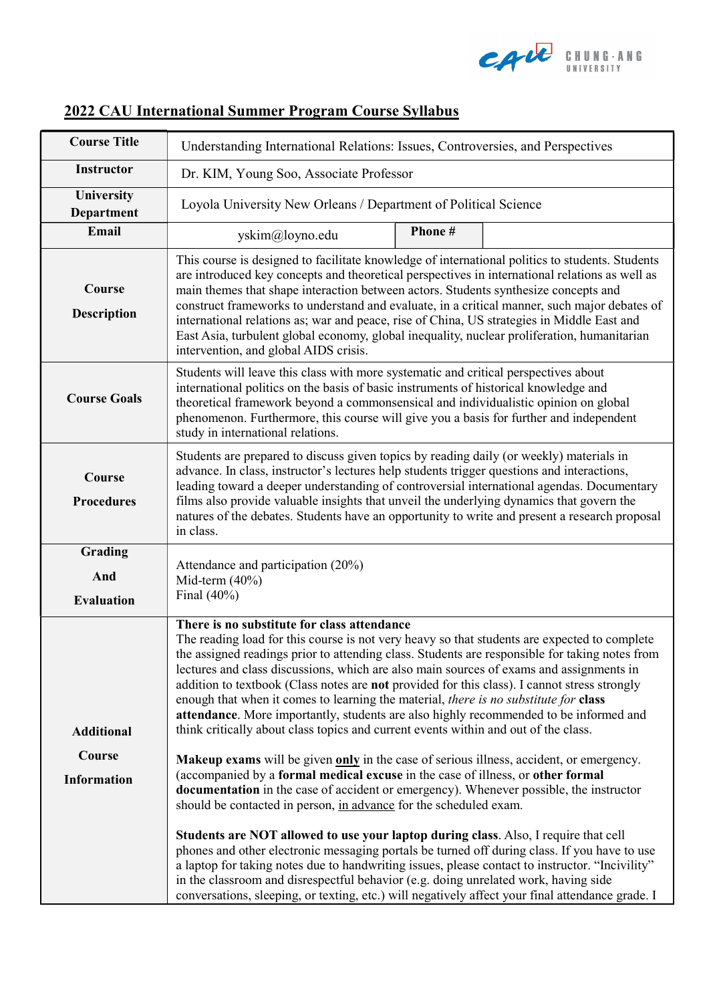

| <b>Course Title</b>                 | Understanding International Relations: Issues, Controversies, and Perspectives                                                                                                                                                                                                                                                                                                                                                                                                                                                                                                                                                                                                                                                                                                                              |        |  |  |  |
|-------------------------------------|-------------------------------------------------------------------------------------------------------------------------------------------------------------------------------------------------------------------------------------------------------------------------------------------------------------------------------------------------------------------------------------------------------------------------------------------------------------------------------------------------------------------------------------------------------------------------------------------------------------------------------------------------------------------------------------------------------------------------------------------------------------------------------------------------------------|--------|--|--|--|
| <b>Instructor</b>                   | Dr. KIM, Young Soo, Associate Professor                                                                                                                                                                                                                                                                                                                                                                                                                                                                                                                                                                                                                                                                                                                                                                     |        |  |  |  |
| University<br><b>Department</b>     | Loyola University New Orleans / Department of Political Science                                                                                                                                                                                                                                                                                                                                                                                                                                                                                                                                                                                                                                                                                                                                             |        |  |  |  |
| Email                               | yskim@loyno.edu                                                                                                                                                                                                                                                                                                                                                                                                                                                                                                                                                                                                                                                                                                                                                                                             | Phone# |  |  |  |
| Course<br><b>Description</b>        | This course is designed to facilitate knowledge of international politics to students. Students<br>are introduced key concepts and theoretical perspectives in international relations as well as<br>main themes that shape interaction between actors. Students synthesize concepts and<br>construct frameworks to understand and evaluate, in a critical manner, such major debates of<br>international relations as; war and peace, rise of China, US strategies in Middle East and<br>East Asia, turbulent global economy, global inequality, nuclear proliferation, humanitarian<br>intervention, and global AIDS crisis.                                                                                                                                                                              |        |  |  |  |
| <b>Course Goals</b>                 | Students will leave this class with more systematic and critical perspectives about<br>international politics on the basis of basic instruments of historical knowledge and<br>theoretical framework beyond a commonsensical and individualistic opinion on global<br>phenomenon. Furthermore, this course will give you a basis for further and independent<br>study in international relations.                                                                                                                                                                                                                                                                                                                                                                                                           |        |  |  |  |
| Course<br><b>Procedures</b>         | Students are prepared to discuss given topics by reading daily (or weekly) materials in<br>advance. In class, instructor's lectures help students trigger questions and interactions,<br>leading toward a deeper understanding of controversial international agendas. Documentary<br>films also provide valuable insights that unveil the underlying dynamics that govern the<br>natures of the debates. Students have an opportunity to write and present a research proposal<br>in class.                                                                                                                                                                                                                                                                                                                |        |  |  |  |
| Grading<br>And<br><b>Evaluation</b> | Attendance and participation (20%)<br>Mid-term $(40\%)$<br>Final $(40\%)$                                                                                                                                                                                                                                                                                                                                                                                                                                                                                                                                                                                                                                                                                                                                   |        |  |  |  |
| <b>Additional</b><br>Course         | There is no substitute for class attendance<br>The reading load for this course is not very heavy so that students are expected to complete<br>the assigned readings prior to attending class. Students are responsible for taking notes from<br>lectures and class discussions, which are also main sources of exams and assignments in<br>addition to textbook (Class notes are not provided for this class). I cannot stress strongly<br>enough that when it comes to learning the material, there is no substitute for class<br>attendance. More importantly, students are also highly recommended to be informed and<br>think critically about class topics and current events within and out of the class.<br>Makeup exams will be given only in the case of serious illness, accident, or emergency. |        |  |  |  |
| <b>Information</b>                  | (accompanied by a formal medical excuse in the case of illness, or other formal<br>documentation in the case of accident or emergency). Whenever possible, the instructor<br>should be contacted in person, in advance for the scheduled exam.                                                                                                                                                                                                                                                                                                                                                                                                                                                                                                                                                              |        |  |  |  |
|                                     | Students are NOT allowed to use your laptop during class. Also, I require that cell<br>phones and other electronic messaging portals be turned off during class. If you have to use<br>a laptop for taking notes due to handwriting issues, please contact to instructor. "Incivility"<br>in the classroom and disrespectful behavior (e.g. doing unrelated work, having side<br>conversations, sleeping, or texting, etc.) will negatively affect your final attendance grade. I                                                                                                                                                                                                                                                                                                                           |        |  |  |  |

## 2022 CAU International Summer Program Course Syllabus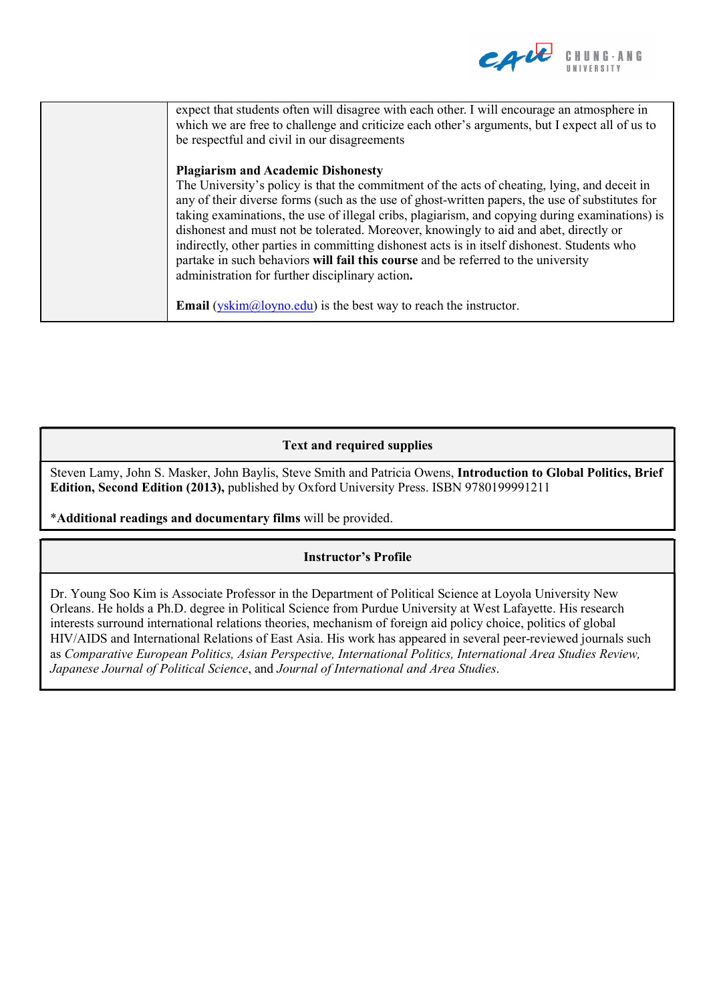

| expect that students often will disagree with each other. I will encourage an atmosphere in<br>which we are free to challenge and criticize each other's arguments, but I expect all of us to<br>be respectful and civil in our disagreements                                                                                                                                                                                                                                                                                                                                                                                     |
|-----------------------------------------------------------------------------------------------------------------------------------------------------------------------------------------------------------------------------------------------------------------------------------------------------------------------------------------------------------------------------------------------------------------------------------------------------------------------------------------------------------------------------------------------------------------------------------------------------------------------------------|
| <b>Plagiarism and Academic Dishonesty</b>                                                                                                                                                                                                                                                                                                                                                                                                                                                                                                                                                                                         |
| The University's policy is that the commitment of the acts of cheating, lying, and deceit in<br>any of their diverse forms (such as the use of ghost-written papers, the use of substitutes for<br>taking examinations, the use of illegal cribs, plagiarism, and copying during examinations) is<br>dishonest and must not be tolerated. Moreover, knowingly to aid and abet, directly or<br>indirectly, other parties in committing dishonest acts is in itself dishonest. Students who<br>partake in such behaviors will fail this course and be referred to the university<br>administration for further disciplinary action. |
| <b>Email</b> ( $y\text{skim}(\hat{a})\text{loyno.edu}$ ) is the best way to reach the instructor.                                                                                                                                                                                                                                                                                                                                                                                                                                                                                                                                 |

## Text and required supplies

Steven Lamy, John S. Masker, John Baylis, Steve Smith and Patricia Owens, Introduction to Global Politics, Brief Edition, Second Edition (2013), published by Oxford University Press. ISBN 9780199991211

\*Additional readings and documentary films will be provided.

## Instructor's Profile

Dr. Young Soo Kim is Associate Professor in the Department of Political Science at Loyola University New Orleans. He holds a Ph.D. degree in Political Science from Purdue University at West Lafayette. His research interests surround international relations theories, mechanism of foreign aid policy choice, politics of global HIV/AIDS and International Relations of East Asia. His work has appeared in several peer-reviewed journals such as Comparative European Politics, Asian Perspective, International Politics, International Area Studies Review, Japanese Journal of Political Science, and Journal of International and Area Studies.